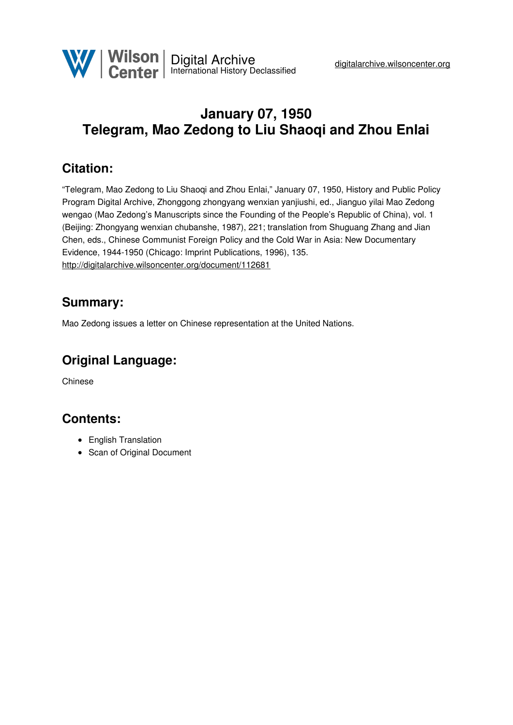# **January 07, 1950 Telegram, Mao Zedong to Liu Shaoqi and Zhou Enlai**

### **Citation:**

"Telegram, Mao Zedong to Liu Shaoqi and Zhou Enlai," January 07, 1950, History and Public Policy Program Digital Archive, Zhonggong zhongyang wenxian yanjiushi, ed., Jianguo yilai Mao Zedong wengao (Mao Zedong's Manuscripts since the Founding of the People's Republic of China), vol. 1 (Beijing: Zhongyang wenxian chubanshe, 1987), 221; translation from Shuguang Zhang and Jian Chen, eds., Chinese Communist Foreign Policy and the Cold War in Asia: New Documentary Evidence, 1944-1950 (Chicago: Imprint Publications, 1996), 135. <http://digitalarchive.wilsoncenter.org/document/112681>

#### **Summary:**

Mao Zedong issues a letter on Chinese representation at the United Nations.

## **Original Language:**

Chinese

#### **Contents:**

- English Translation
- Scan of Original Document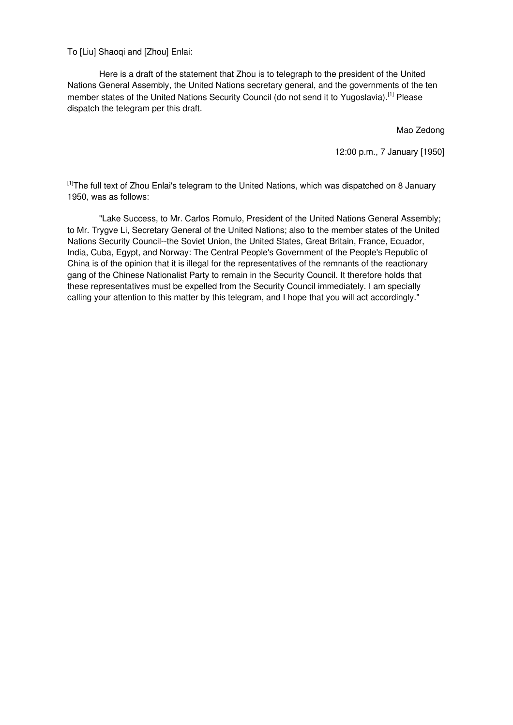To [Liu] Shaoqi and [Zhou] Enlai:

Here is a draft of the statement that Zhou is to telegraph to the president of the United Nations General Assembly, the United Nations secretary general, and the governments of the ten member states of the United Nations Security Council (do not send it to Yugoslavia).<sup>[1]</sup> Please dispatch the telegram per this draft.

Mao Zedong

12:00 p.m., 7 January [1950]

<sup>[1]</sup>The full text of Zhou Enlai's telegram to the United Nations, which was dispatched on 8 January 1950, was as follows:

"Lake Success, to Mr. Carlos Romulo, President of the United Nations General Assembly; to Mr. Trygve Li, Secretary General of the United Nations; also to the member states of the United Nations Security Council--the Soviet Union, the United States, Great Britain, France, Ecuador, India, Cuba, Egypt, and Norway: The Central People's Government of the People's Republic of China is of the opinion that it is illegal for the representatives of the remnants of the reactionary gang of the Chinese Nationalist Party to remain in the Security Council. It therefore holds that these representatives must be expelled from the Security Council immediately. I am specially calling your attention to this matter by this telegram, and I hope that you will act accordingly."